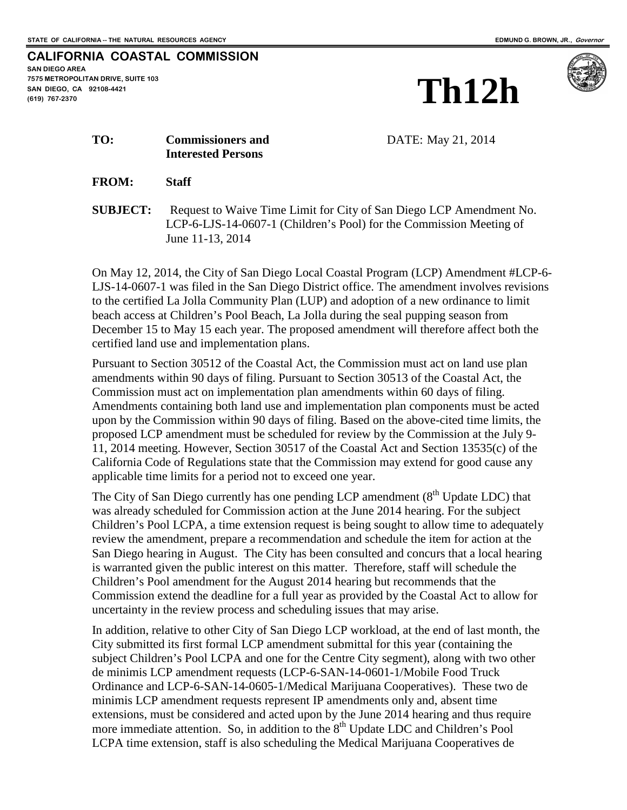## **CALIFORNIA COASTAL COMMISSION SAN DIEGO AREA 7575 METROPOLITAN DRIVE, SUITE 103 SAN DIEGO, CA 92108-4421 (619) 767-2370**





**TO: Commissioners and** DATE: May 21, 2014

**FROM: Staff**

**Interested Persons**

**SUBJECT:** Request to Waive Time Limit for City of San Diego LCP Amendment No. LCP-6-LJS-14-0607-1 (Children's Pool) for the Commission Meeting of June 11-13, 2014

On May 12, 2014, the City of San Diego Local Coastal Program (LCP) Amendment #LCP-6- LJS-14-0607-1 was filed in the San Diego District office. The amendment involves revisions to the certified La Jolla Community Plan (LUP) and adoption of a new ordinance to limit beach access at Children's Pool Beach, La Jolla during the seal pupping season from December 15 to May 15 each year. The proposed amendment will therefore affect both the certified land use and implementation plans.

Pursuant to Section 30512 of the Coastal Act, the Commission must act on land use plan amendments within 90 days of filing. Pursuant to Section 30513 of the Coastal Act, the Commission must act on implementation plan amendments within 60 days of filing. Amendments containing both land use and implementation plan components must be acted upon by the Commission within 90 days of filing. Based on the above-cited time limits, the proposed LCP amendment must be scheduled for review by the Commission at the July 9- 11, 2014 meeting. However, Section 30517 of the Coastal Act and Section 13535(c) of the California Code of Regulations state that the Commission may extend for good cause any applicable time limits for a period not to exceed one year.

The City of San Diego currently has one pending LCP amendment  $(8<sup>th</sup>$  Update LDC) that was already scheduled for Commission action at the June 2014 hearing. For the subject Children's Pool LCPA, a time extension request is being sought to allow time to adequately review the amendment, prepare a recommendation and schedule the item for action at the San Diego hearing in August. The City has been consulted and concurs that a local hearing is warranted given the public interest on this matter. Therefore, staff will schedule the Children's Pool amendment for the August 2014 hearing but recommends that the Commission extend the deadline for a full year as provided by the Coastal Act to allow for uncertainty in the review process and scheduling issues that may arise.

In addition, relative to other City of San Diego LCP workload, at the end of last month, the City submitted its first formal LCP amendment submittal for this year (containing the subject Children's Pool LCPA and one for the Centre City segment), along with two other de minimis LCP amendment requests (LCP-6-SAN-14-0601-1/Mobile Food Truck Ordinance and LCP-6-SAN-14-0605-1/Medical Marijuana Cooperatives). These two de minimis LCP amendment requests represent IP amendments only and, absent time extensions, must be considered and acted upon by the June 2014 hearing and thus require more immediate attention. So, in addition to the 8<sup>th</sup> Update LDC and Children's Pool LCPA time extension, staff is also scheduling the Medical Marijuana Cooperatives de